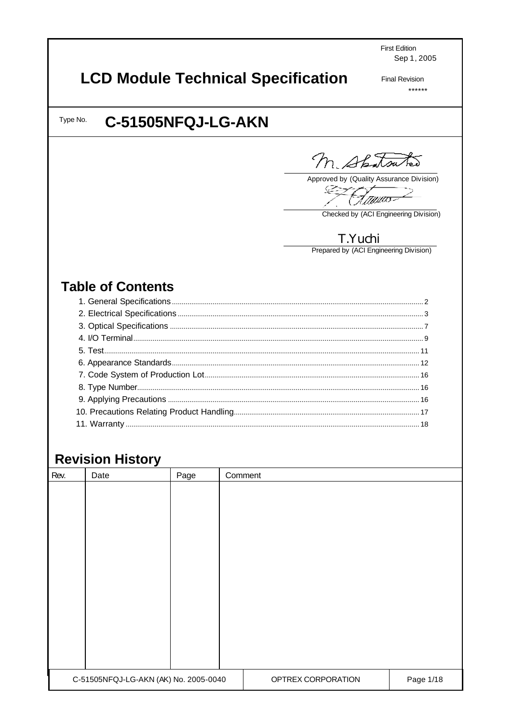**First Edition** Sep 1, 2005

# **LCD Module Technical Specification**

**Final Revision**  $******$ 

#### C-51505NFQJ-LG-AKN Type No.

M. Shatsutes

Approved by (Quality Assurance Division)

-12 .<br>Itilita

Checked by (ACI Engineering Division)

## T.Yuchi

Prepared by (ACI Engineering Division)

## **Table of Contents**

## **Revision History**

| Rev. | Date                                  | Page | Comment |                    |           |
|------|---------------------------------------|------|---------|--------------------|-----------|
|      |                                       |      |         |                    |           |
|      |                                       |      |         |                    |           |
|      |                                       |      |         |                    |           |
|      |                                       |      |         |                    |           |
|      |                                       |      |         |                    |           |
|      |                                       |      |         |                    |           |
|      |                                       |      |         |                    |           |
|      |                                       |      |         |                    |           |
|      |                                       |      |         |                    |           |
|      |                                       |      |         |                    |           |
|      |                                       |      |         |                    |           |
|      |                                       |      |         |                    |           |
|      |                                       |      |         |                    |           |
|      | C-51505NFQJ-LG-AKN (AK) No. 2005-0040 |      |         | OPTREX CORPORATION | Page 1/18 |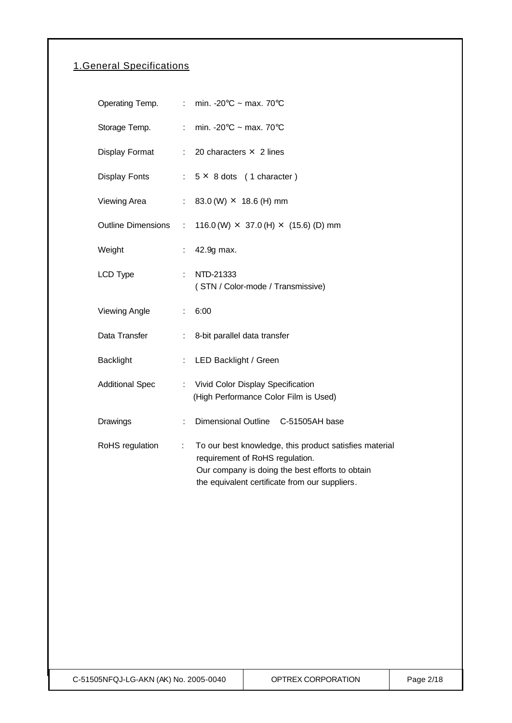## 1.General Specifications

| Operating Temp.           |                           | min. -20 $\degree$ C ~ max. 70 $\degree$ C                                                                                                                                                     |
|---------------------------|---------------------------|------------------------------------------------------------------------------------------------------------------------------------------------------------------------------------------------|
| Storage Temp.             |                           | : min. -20 $\degree$ C ~ max. 70 $\degree$ C                                                                                                                                                   |
| Display Format            |                           | $\therefore$ 20 characters $\times$ 2 lines                                                                                                                                                    |
| <b>Display Fonts</b>      |                           | $: 5 \times 8$ dots (1 character)                                                                                                                                                              |
| Viewing Area              | $\mathbb{R}^{\mathbb{Z}}$ | 83.0 (W) $\times$ 18.6 (H) mm                                                                                                                                                                  |
| <b>Outline Dimensions</b> | ÷                         | 116.0 (W) $\times$ 37.0 (H) $\times$ (15.6) (D) mm                                                                                                                                             |
| Weight                    |                           | 42.9g max.                                                                                                                                                                                     |
| LCD Type                  |                           | NTD-21333<br>(STN / Color-mode / Transmissive)                                                                                                                                                 |
| <b>Viewing Angle</b>      | t.                        | 6:00                                                                                                                                                                                           |
| Data Transfer             |                           | 8-bit parallel data transfer                                                                                                                                                                   |
| <b>Backlight</b>          | ÷.                        | LED Backlight / Green                                                                                                                                                                          |
| <b>Additional Spec</b>    | ÷.                        | Vivid Color Display Specification<br>(High Performance Color Film is Used)                                                                                                                     |
| Drawings                  | ÷                         | Dimensional Outline C-51505AH base                                                                                                                                                             |
| RoHS regulation           | t.                        | To our best knowledge, this product satisfies material<br>requirement of RoHS regulation.<br>Our company is doing the best efforts to obtain<br>the equivalent certificate from our suppliers. |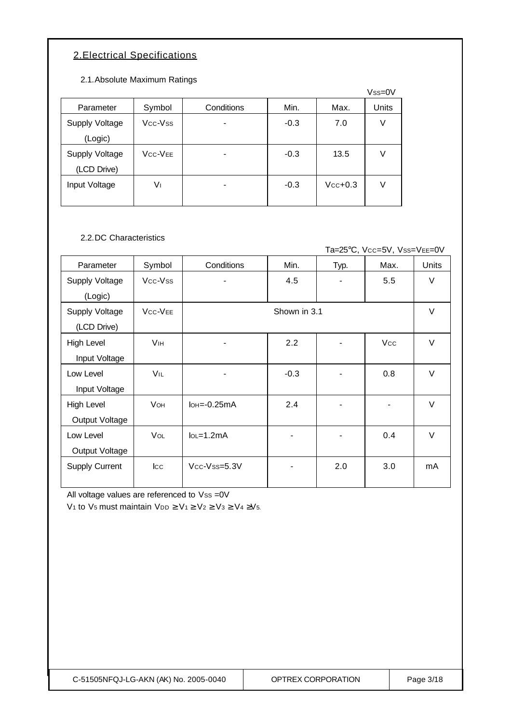## 2.Electrical Specifications

2.1.Absolute Maximum Ratings

|                |                                  |            |        |           | $Vss=0V$ |
|----------------|----------------------------------|------------|--------|-----------|----------|
| Parameter      | Symbol                           | Conditions | Min.   | Max.      | Units    |
| Supply Voltage | Vcc-Vss                          |            | $-0.3$ | 7.0       | V        |
| (Logic)        |                                  |            |        |           |          |
| Supply Voltage | V <sub>CC</sub> -V <sub>EE</sub> |            | $-0.3$ | 13.5      | V        |
| (LCD Drive)    |                                  |            |        |           |          |
| Input Voltage  | V١                               |            | $-0.3$ | $Vcc+0.3$ | V        |
|                |                                  |            |        |           |          |

2.2.DC Characteristics

Ta=25°C, Vcc=5V, Vss=VEE=0V

| Parameter             | Symbol                          | Conditions                    | Min.         | Typ. | Max.       | Units  |
|-----------------------|---------------------------------|-------------------------------|--------------|------|------------|--------|
| Supply Voltage        | Vcc-Vss                         |                               | 4.5          |      | 5.5        | $\vee$ |
| (Logic)               |                                 |                               |              |      |            |        |
| Supply Voltage        | V <sub>C</sub> -V <sub>EE</sub> |                               | Shown in 3.1 |      |            | $\vee$ |
| (LCD Drive)           |                                 |                               |              |      |            |        |
| High Level            | <b>V<sub>IH</sub></b>           | ۰                             | 2.2          |      | <b>Vcc</b> | $\vee$ |
| Input Voltage         |                                 |                               |              |      |            |        |
| Low Level             | VIL                             | -                             | $-0.3$       |      | 0.8        | $\vee$ |
| Input Voltage         |                                 |                               |              |      |            |        |
| High Level            | <b>VOH</b>                      | $I$ <sub>OH</sub> $=$ -0.25mA | 2.4          |      |            | $\vee$ |
| Output Voltage        |                                 |                               |              |      |            |        |
| Low Level             | VOL                             | $IoL = 1.2mA$                 |              |      | 0.4        | $\vee$ |
| Output Voltage        |                                 |                               |              |      |            |        |
| <b>Supply Current</b> | $ _{\rm CC}$                    | $Vcc$ - $Vss=5.3V$            |              | 2.0  | 3.0        | mA     |
|                       |                                 |                               |              |      |            |        |

All voltage values are referenced to Vss =0V

V<sub>1</sub> to V<sub>5</sub> must maintain V<sub>DD</sub>  $\geq$  V<sub>1</sub> $\geq$  V<sub>2</sub> $\geq$  V<sub>3</sub> $\geq$  V<sub>4</sub> $\geq$ V<sub>5</sub>.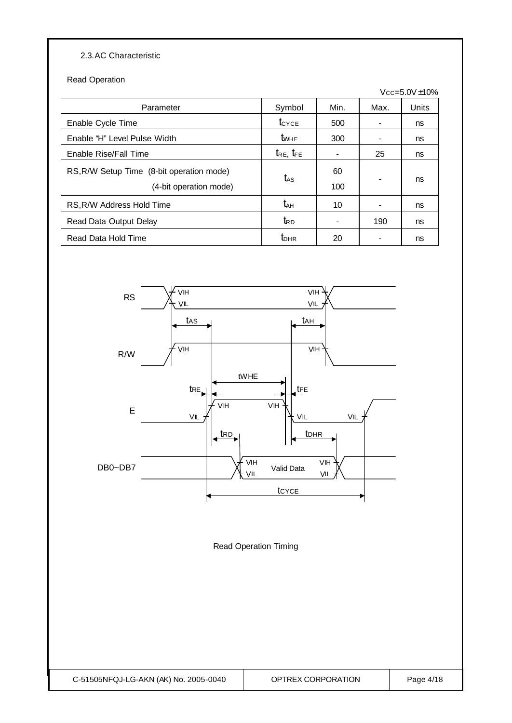### 2.3.AC Characteristic

Read Operation

|                                           |                     |                          |      | $Vcc = 5.0V \pm 10\%$ |
|-------------------------------------------|---------------------|--------------------------|------|-----------------------|
| Parameter                                 | Symbol              | Min.                     | Max. | Units                 |
| Enable Cycle Time                         | $t_{\text{CYCE}}$   | 500                      |      | ns                    |
| Enable "H" Level Pulse Width              | <b>t</b> whe        | 300                      |      | ns                    |
| Enable Rise/Fall Time                     | $t_{RE}$ , $t_{FE}$ | $\overline{\phantom{a}}$ | 25   | ns                    |
| RS, R/W Setup Time (8-bit operation mode) | tas                 | 60                       |      | ns                    |
| (4-bit operation mode)                    |                     | 100                      |      |                       |
| RS, R/W Address Hold Time                 | t <sub>ан</sub>     | 10                       |      | ns                    |
| Read Data Output Delay                    | $t_{\mathsf{RD}}$   |                          | 190  | ns                    |
| Read Data Hold Time                       | $t_{\text{DHR}}$    | 20                       |      | ns                    |



Read Operation Timing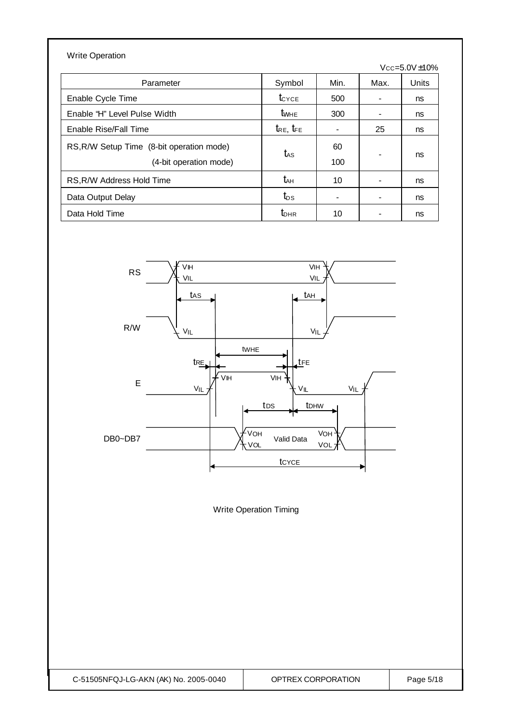| <b>Write Operation</b>                                              |                     |           |                |                       |
|---------------------------------------------------------------------|---------------------|-----------|----------------|-----------------------|
|                                                                     |                     |           |                | $Vcc = 5.0V \pm 10\%$ |
| Parameter                                                           | Symbol              | Min.      | Max.           | Units                 |
| Enable Cycle Time                                                   | $t_{\text{CYCE}}$   | 500       |                | ns                    |
| Enable "H" Level Pulse Width                                        | <b>t</b> whe        | 300       | ۰              | ns                    |
| Enable Rise/Fall Time                                               | $t_{RE}$ , $t_{FE}$ |           | 25             | ns                    |
| RS, R/W Setup Time (8-bit operation mode)<br>(4-bit operation mode) | $t_{\rm AS}$        | 60<br>100 | $\blacksquare$ | ns                    |
| RS, R/W Address Hold Time                                           | t <sub>ан</sub>     | 10        |                | ns                    |
| Data Output Delay                                                   | $t_{DS}$            |           |                | ns                    |
| Data Hold Time                                                      | $t_{\text{DHR}}$    | 10        |                | ns                    |



Write Operation Timing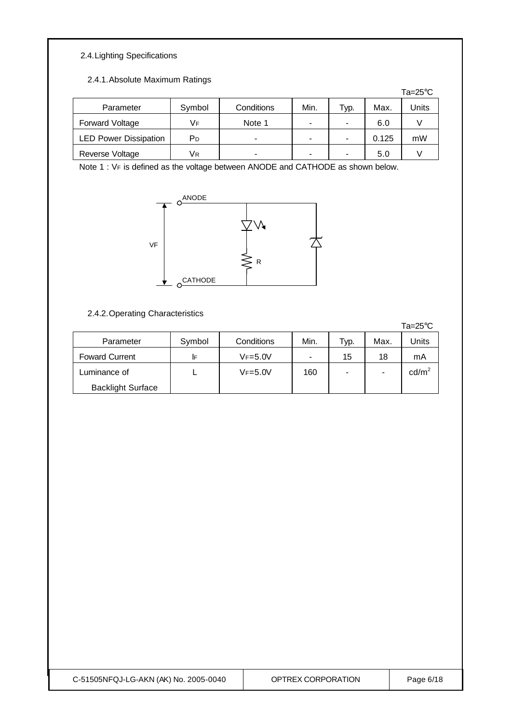## 2.4.Lighting Specifications

#### 2.4.1.Absolute Maximum Ratings

|                              |        |            |      |      |       | Ta= $25^{\circ}$ C |
|------------------------------|--------|------------|------|------|-------|--------------------|
| Parameter                    | Symbol | Conditions | Min. | ⊤ур. | Max.  | Units              |
| Forward Voltage              | Vғ     | Note 1     | ۰    |      | 6.0   |                    |
| <b>LED Power Dissipation</b> | РD     | -          | ۰    |      | 0.125 | mW                 |
| Reverse Voltage              | Vк     |            |      |      | 5.0   |                    |

Note 1 : VF is defined as the voltage between ANODE and CATHODE as shown below.



#### 2.4.2.Operating Characteristics

|                          |        |             |                |      |      | $Ta = 25^{\circ}C$ |
|--------------------------|--------|-------------|----------------|------|------|--------------------|
| Parameter                | Symbol | Conditions  | Min.           | Typ. | Max. | Units              |
| <b>Foward Current</b>    | IF     | $VF = 5.0V$ | $\blacksquare$ | 15   | 18   | mA                 |
| Luminance of             |        | $VF = 5.0V$ | 160            |      | -    | $\text{cd/m}^2$    |
| <b>Backlight Surface</b> |        |             |                |      |      |                    |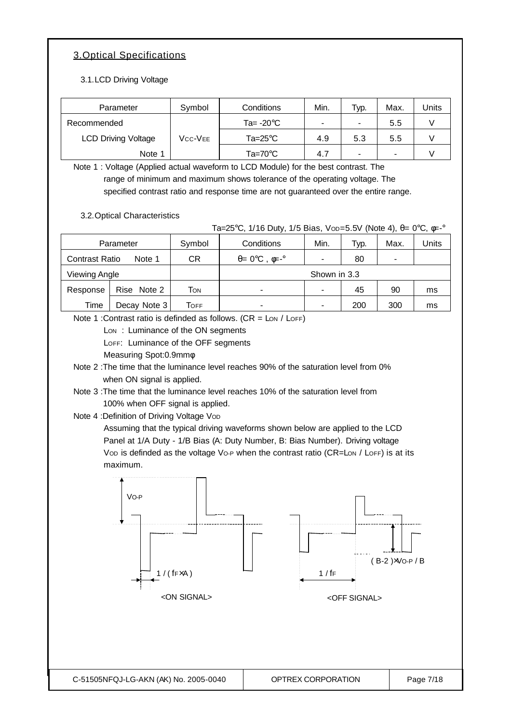## 3.Optical Specifications

3.1.LCD Driving Voltage

| Parameter                  | Symbol  | Conditions          | Min.                     | Typ.                     | Max. | Units |
|----------------------------|---------|---------------------|--------------------------|--------------------------|------|-------|
| Recommended                |         | Ta= $-20^{\circ}$ C | $\overline{\phantom{a}}$ |                          | 5.5  |       |
| <b>LCD Driving Voltage</b> | Vcc-Vee | $Ta = 25^{\circ}C$  | 4.9                      | 5.3                      | 5.5  |       |
| Note 1                     |         | Ta=70 $^{\circ}$ C  | 4.7                      | $\overline{\phantom{0}}$ | -    |       |

Note 1 : Voltage (Applied actual waveform to LCD Module) for the best contrast. The range of minimum and maximum shows tolerance of the operating voltage. The specified contrast ratio and response time are not guaranteed over the entire range.

3.2.Optical Characteristics

Ta=25°C, 1/16 Duty, 1/5 Bias, Vop=5.5V (Note 4), θ= 0°C, φ=-°

|                | Parameter    | Symbol | Min.<br>Conditions                            |  | Typ. | Max. | Jnits |
|----------------|--------------|--------|-----------------------------------------------|--|------|------|-------|
| Contrast Ratio | Note 1       | СR     | $\theta = 0^\circ \text{C}$ , $\phi = -\circ$ |  | 80   |      |       |
| Viewing Angle  |              |        | Shown in 3.3                                  |  |      |      |       |
| Response       | Rise Note 2  | Том    | $\overline{\phantom{a}}$                      |  | 45   | 90   | ms    |
| Time           | Decay Note 3 | Тоғғ   | $\overline{\phantom{0}}$                      |  | 200  | 300  | ms    |

Note 1 : Contrast ratio is definded as follows.  $(CR = \text{Low / LOFF})$ 

Lon: Luminance of the ON segments

LOFF: Luminance of the OFF segments

Measuring Spot:0.9mmφ

Note 2 :The time that the luminance level reaches 90% of the saturation level from 0% when ON signal is applied.

Note 3 :The time that the luminance level reaches 10% of the saturation level from 100% when OFF signal is applied.

Note 4 : Definition of Driving Voltage Vop

Assuming that the typical driving waveforms shown below are applied to the LCD Panel at 1/A Duty - 1/B Bias (A: Duty Number, B: Bias Number). Driving voltage Vop is definded as the voltage Vo-P when the contrast ratio (CR=Lon / LoFF) is at its maximum.

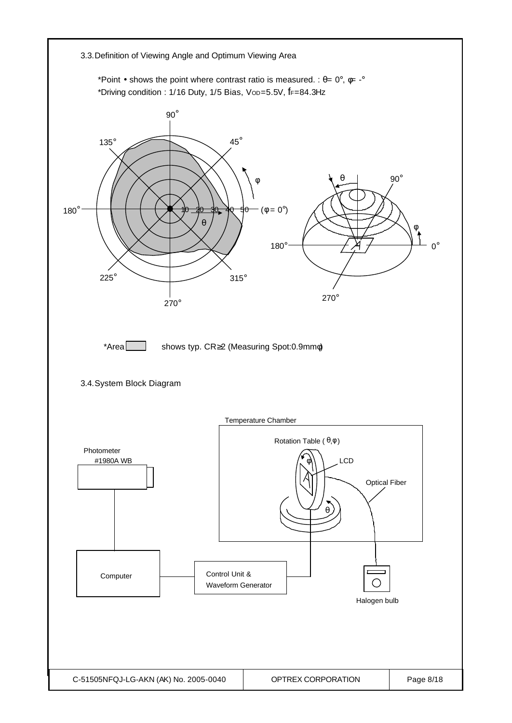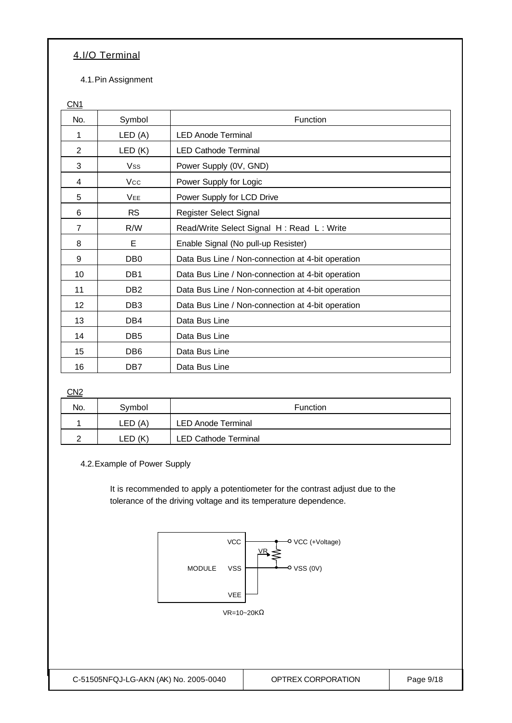### 4.I/O Terminal

4.1.Pin Assignment

CN<sub>1</sub>

| No.            | Symbol          | Function                                          |
|----------------|-----------------|---------------------------------------------------|
| 1              | LED(A)          | <b>LED Anode Terminal</b>                         |
| $\overline{2}$ | LED(K)          | <b>LED Cathode Terminal</b>                       |
| 3              | Vss             | Power Supply (0V, GND)                            |
| 4              | Vcc             | Power Supply for Logic                            |
| 5              | <b>VEE</b>      | Power Supply for LCD Drive                        |
| 6              | <b>RS</b>       | Register Select Signal                            |
| $\overline{7}$ | R/W             | Read/Write Select Signal H: Read L: Write         |
| 8              | E               | Enable Signal (No pull-up Resister)               |
| 9              | DB <sub>0</sub> | Data Bus Line / Non-connection at 4-bit operation |
| 10             | DB1             | Data Bus Line / Non-connection at 4-bit operation |
| 11             | DB <sub>2</sub> | Data Bus Line / Non-connection at 4-bit operation |
| 12             | DB <sub>3</sub> | Data Bus Line / Non-connection at 4-bit operation |
| 13             | DB4             | Data Bus Line                                     |
| 14             | DB <sub>5</sub> | Data Bus Line                                     |
| 15             | DB <sub>6</sub> | Data Bus Line                                     |
| 16             | DB7             | Data Bus Line                                     |

CN<sub>2</sub>

| No. | Svmbol     | <b>Function</b>             |  |  |
|-----|------------|-----------------------------|--|--|
|     | LED (A)    | <b>LED Anode Terminal</b>   |  |  |
|     | (K<br>∟ED∶ | <b>LED Cathode Terminal</b> |  |  |

4.2.Example of Power Supply

It is recommended to apply a potentiometer for the contrast adjust due to the tolerance of the driving voltage and its temperature dependence.

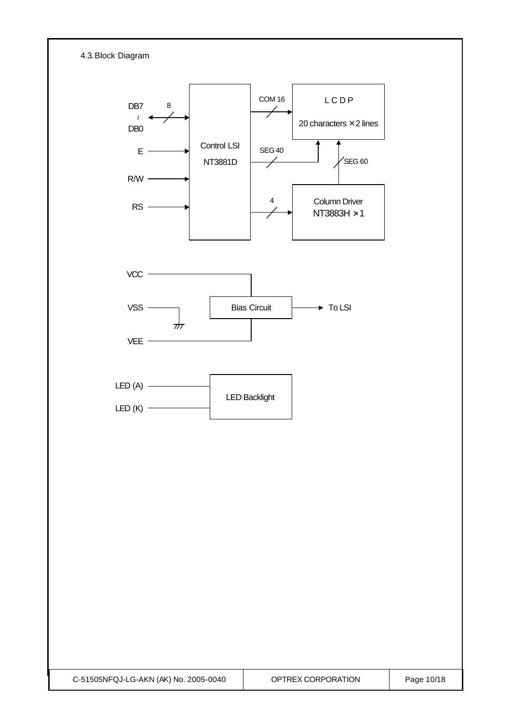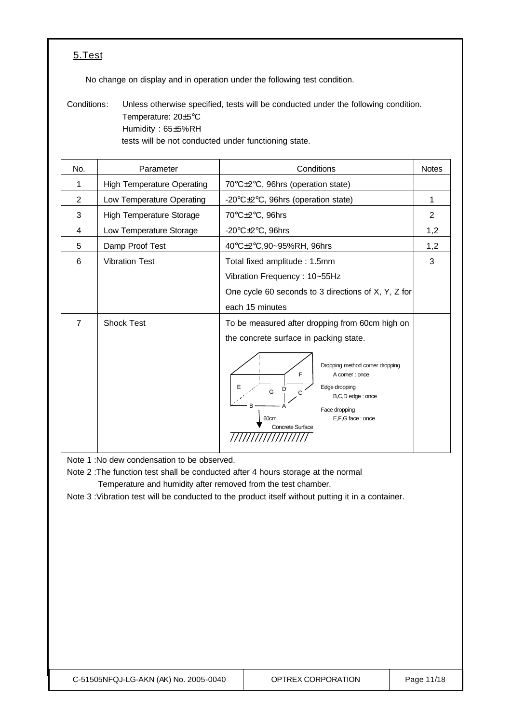## 5.Test

No change on display and in operation under the following test condition.

Conditions: Unless otherwise specified, tests will be conducted under the following condition. Temperature: 20±5°C Humidity : 65±5%RH tests will be not conducted under functioning state.

| No.            | Parameter                         | Conditions                                                                                                                                                                                                                                                                 | <b>Notes</b>   |
|----------------|-----------------------------------|----------------------------------------------------------------------------------------------------------------------------------------------------------------------------------------------------------------------------------------------------------------------------|----------------|
| 1              | <b>High Temperature Operating</b> | 70°C±2°C, 96hrs (operation state)                                                                                                                                                                                                                                          |                |
| $\overline{2}$ | Low Temperature Operating         | -20°C±2°C, 96hrs (operation state)                                                                                                                                                                                                                                         | 1              |
| 3              | <b>High Temperature Storage</b>   | 70°C±2°C, 96hrs                                                                                                                                                                                                                                                            | $\overline{2}$ |
| 4              | Low Temperature Storage           | -20 $\textdegree$ C $\pm$ 2 $\textdegree$ C, 96hrs                                                                                                                                                                                                                         | 1,2            |
| 5              | Damp Proof Test                   | 40°C±2°C,90~95%RH, 96hrs                                                                                                                                                                                                                                                   | 1,2            |
| 6              | <b>Vibration Test</b>             | Total fixed amplitude: 1.5mm<br>Vibration Frequency: 10~55Hz<br>One cycle 60 seconds to 3 directions of X, Y, Z for<br>each 15 minutes                                                                                                                                     | 3              |
| $\overline{7}$ | <b>Shock Test</b>                 | To be measured after dropping from 60cm high on<br>the concrete surface in packing state.<br>Dropping method corner dropping<br>F<br>A corner : once<br>Ε<br>Edge dropping<br>G<br>C<br>B,C,D edge : once<br>Face dropping<br>E,F,G face: once<br>60cm<br>Concrete Surface |                |

Note 1 :No dew condensation to be observed.

Note 2 :The function test shall be conducted after 4 hours storage at the normal Temperature and humidity after removed from the test chamber.

Note 3 :Vibration test will be conducted to the product itself without putting it in a container.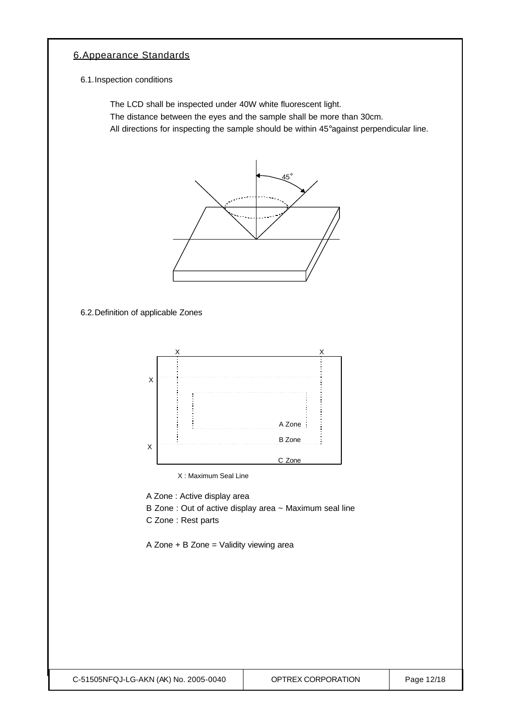## 6.Appearance Standards

6.1.Inspection conditions

The LCD shall be inspected under 40W white fluorescent light.

The distance between the eyes and the sample shall be more than 30cm.

All directions for inspecting the sample should be within 45°against perpendicular line.



6.2.Definition of applicable Zones



X : Maximum Seal Line

A Zone : Active display area

- B Zone : Out of active display area ~ Maximum seal line
- C Zone : Rest parts

A Zone + B Zone = Validity viewing area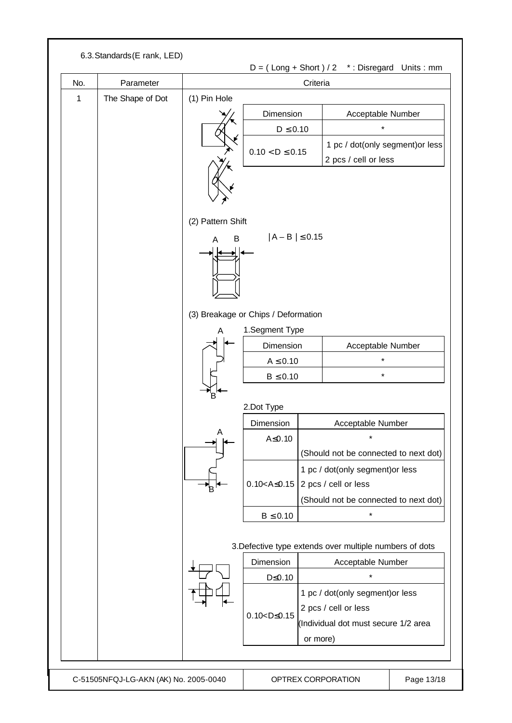| No.          | Parameter                        |                   |                                             |                                       |                                                         |  |  |
|--------------|----------------------------------|-------------------|---------------------------------------------|---------------------------------------|---------------------------------------------------------|--|--|
| $\mathbf{1}$ | (1) Pin Hole<br>The Shape of Dot |                   | Criteria                                    |                                       |                                                         |  |  |
|              |                                  |                   | Dimension                                   |                                       | Acceptable Number                                       |  |  |
|              |                                  |                   | $D \leq 0.10$                               |                                       | $\star$                                                 |  |  |
|              |                                  |                   |                                             |                                       | 1 pc / dot(only segment) or less                        |  |  |
|              |                                  |                   | $0.10 < D \le 0.15$                         |                                       | 2 pcs / cell or less                                    |  |  |
|              |                                  | (2) Pattern Shift |                                             |                                       |                                                         |  |  |
|              |                                  | B<br>A            | $ A - B  \le 0.15$                          |                                       |                                                         |  |  |
|              |                                  |                   | (3) Breakage or Chips / Deformation         |                                       |                                                         |  |  |
|              |                                  | A                 | 1.Segment Type                              |                                       |                                                         |  |  |
|              |                                  |                   | Dimension                                   |                                       | Acceptable Number                                       |  |  |
|              |                                  |                   | $A \leq 0.10$                               |                                       | *                                                       |  |  |
|              |                                  |                   | $B \leq 0.10$                               |                                       | $\star$                                                 |  |  |
|              |                                  | Έ.                | 2.Dot Type                                  |                                       |                                                         |  |  |
|              |                                  |                   | Dimension                                   |                                       | Acceptable Number                                       |  |  |
|              |                                  | A                 | A≤0.10                                      |                                       | $\star$                                                 |  |  |
|              |                                  |                   |                                             |                                       | (Should not be connected to next dot)                   |  |  |
|              |                                  |                   |                                             | 1 pc / dot(only segment) or less      |                                                         |  |  |
|              |                                  |                   | $0.10 < A \le 0.15$                         |                                       | 2 pcs / cell or less                                    |  |  |
|              |                                  |                   |                                             | (Should not be connected to next dot) |                                                         |  |  |
|              |                                  |                   | $B \leq 0.10$                               |                                       | $\star$                                                 |  |  |
|              |                                  |                   |                                             |                                       | 3. Defective type extends over multiple numbers of dots |  |  |
|              |                                  |                   | Dimension                                   |                                       | Acceptable Number                                       |  |  |
|              |                                  |                   | $D \leq 0.10$                               |                                       | $\star$                                                 |  |  |
|              |                                  |                   |                                             | 1 pc / dot(only segment) or less      |                                                         |  |  |
|              |                                  |                   | 2 pcs / cell or less<br>$0.10 < D \le 0.15$ |                                       |                                                         |  |  |
|              |                                  |                   |                                             |                                       | (Individual dot must secure 1/2 area                    |  |  |
|              |                                  |                   |                                             | or more)                              |                                                         |  |  |
|              |                                  |                   |                                             |                                       |                                                         |  |  |
|              |                                  |                   |                                             |                                       |                                                         |  |  |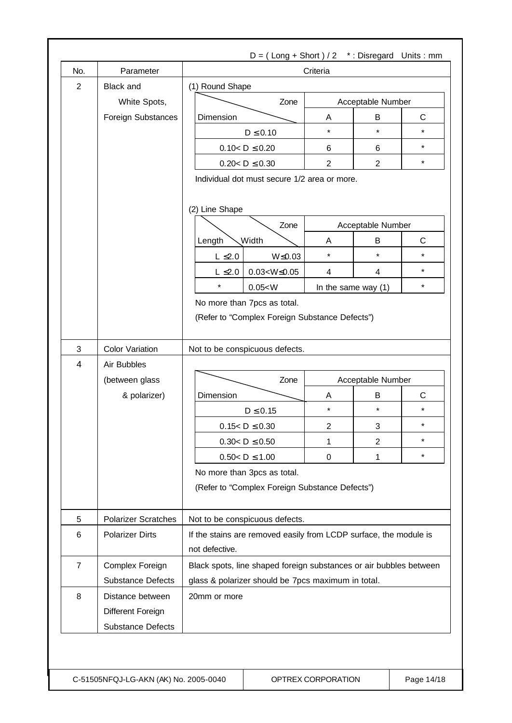| No.            | Parameter                  | Criteria                                                                            |                     |                        |              |  |  |
|----------------|----------------------------|-------------------------------------------------------------------------------------|---------------------|------------------------|--------------|--|--|
| $\overline{2}$ | <b>Black and</b>           | (1) Round Shape                                                                     |                     |                        |              |  |  |
|                | White Spots,               | Zone                                                                                |                     | Acceptable Number      |              |  |  |
|                | Foreign Substances         | Dimension                                                                           | Α                   | B                      | C            |  |  |
|                |                            | $D \leq 0.10$                                                                       | $\star$             | $\star$                | $\star$      |  |  |
|                |                            | $0.10 < D \le 0.20$                                                                 | 6                   | 6                      | $\star$      |  |  |
|                |                            | $0.20 < D \le 0.30$                                                                 | $\overline{2}$      | $\overline{2}$         | $\star$      |  |  |
|                |                            | Individual dot must secure 1/2 area or more.<br>(2) Line Shape                      |                     |                        |              |  |  |
|                |                            | Zone                                                                                |                     | Acceptable Number      |              |  |  |
|                |                            | <b>Width</b><br>Length                                                              | A                   | B<br>C                 |              |  |  |
|                |                            | $L \leq 2.0$<br>$W \le 0.03$                                                        | $\star$             | $\star$                | $\star$      |  |  |
|                |                            | $0.03 < W \le 0.05$<br>$L \leq 2.0$                                                 | 4                   | 4                      | $\star$      |  |  |
|                |                            | $\star$<br>0.05 < W                                                                 |                     | In the same way (1)    | $\star$      |  |  |
|                |                            | No more than 7pcs as total.<br>(Refer to "Complex Foreign Substance Defects")       |                     |                        |              |  |  |
|                |                            |                                                                                     |                     |                        |              |  |  |
| 3              | <b>Color Variation</b>     | Not to be conspicuous defects.                                                      |                     |                        |              |  |  |
| $\overline{4}$ | Air Bubbles                |                                                                                     |                     |                        |              |  |  |
|                | (between glass             | Zone                                                                                |                     | Acceptable Number<br>B |              |  |  |
|                | & polarizer)               | Dimension                                                                           | Α<br>$\star$        | $\star$                | C<br>$\star$ |  |  |
|                |                            | $D \leq 0.15$                                                                       |                     |                        | $^\star$     |  |  |
|                |                            | $0.15 < D \le 0.30$<br>$0.30 < D \le 0.50$                                          | $\overline{c}$<br>1 | 3<br>$\overline{2}$    | $\star$      |  |  |
|                |                            | $0.50 < D \le 1.00$                                                                 | 0                   | 1                      | $\star$      |  |  |
|                |                            | No more than 3pcs as total.<br>(Refer to "Complex Foreign Substance Defects")       |                     |                        |              |  |  |
| 5              | <b>Polarizer Scratches</b> | Not to be conspicuous defects.                                                      |                     |                        |              |  |  |
| 6              | <b>Polarizer Dirts</b>     | If the stains are removed easily from LCDP surface, the module is<br>not defective. |                     |                        |              |  |  |
| $\overline{7}$ | Complex Foreign            | Black spots, line shaped foreign substances or air bubbles between                  |                     |                        |              |  |  |
|                | <b>Substance Defects</b>   | glass & polarizer should be 7pcs maximum in total.                                  |                     |                        |              |  |  |
| 8              | Distance between           | 20mm or more                                                                        |                     |                        |              |  |  |
|                | Different Foreign          |                                                                                     |                     |                        |              |  |  |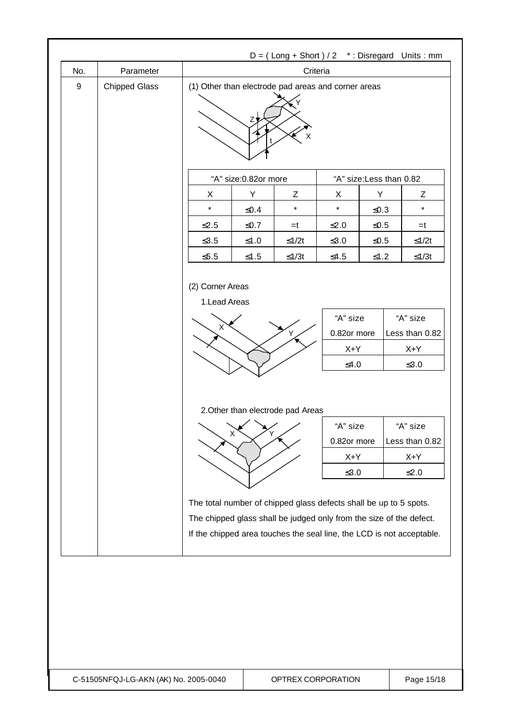|                  |                      | $D = (Long + Short) / 2$ *: Disregard Units: mm                   |                      |                                   |               |            |                                                                                                                                              |
|------------------|----------------------|-------------------------------------------------------------------|----------------------|-----------------------------------|---------------|------------|----------------------------------------------------------------------------------------------------------------------------------------------|
| No.              | Parameter            | Criteria<br>(1) Other than electrode pad areas and corner areas   |                      |                                   |               |            |                                                                                                                                              |
| $\boldsymbol{9}$ | <b>Chipped Glass</b> |                                                                   | Z                    | X                                 |               |            |                                                                                                                                              |
|                  |                      |                                                                   | "A" size:0.82or more |                                   |               |            | "A" size: Less than 0.82                                                                                                                     |
|                  |                      | X                                                                 | Y                    | Z                                 | X             | Y          | Ζ                                                                                                                                            |
|                  |                      | $\star$                                                           | ≤ $0.4$              | $\star$                           | $\star$       | ≤ $0.3$    | $\star$                                                                                                                                      |
|                  |                      | $≤2.5$                                                            | $\leq 0.7$           | $=t$                              | $\leq 2.0$    | $\leq 0.5$ | $=t$                                                                                                                                         |
|                  |                      | $≤3.5$                                                            | $≤1.0$               | $≤1/2t$                           | $≤3.0$        | $\leq 0.5$ | $≤1/2t$                                                                                                                                      |
|                  |                      | $≤5.5$                                                            | $\leq1.5$            | $≤1/3t$                           | $≤4.5$        | $\leq1.2$  | $≤1/3t$                                                                                                                                      |
|                  |                      |                                                                   |                      |                                   | X+Y<br>$≤4.0$ |            | $X+Y$<br>$\leq 3.0$                                                                                                                          |
|                  |                      |                                                                   |                      |                                   |               |            |                                                                                                                                              |
|                  |                      |                                                                   |                      | 2. Other than electrode pad Areas |               |            |                                                                                                                                              |
|                  |                      |                                                                   |                      |                                   | "A" size      |            | "A" size                                                                                                                                     |
|                  |                      |                                                                   | $\mathsf{X}$<br>Y    |                                   | 0.82or more   |            | Less than 0.82                                                                                                                               |
|                  |                      |                                                                   |                      |                                   | $X+Y$         |            | X+Y                                                                                                                                          |
|                  |                      |                                                                   |                      |                                   | $\leq 3.0$    |            | $\leq2.0$                                                                                                                                    |
|                  |                      | The total number of chipped glass defects shall be up to 5 spots. |                      |                                   |               |            | The chipped glass shall be judged only from the size of the defect.<br>If the chipped area touches the seal line, the LCD is not acceptable. |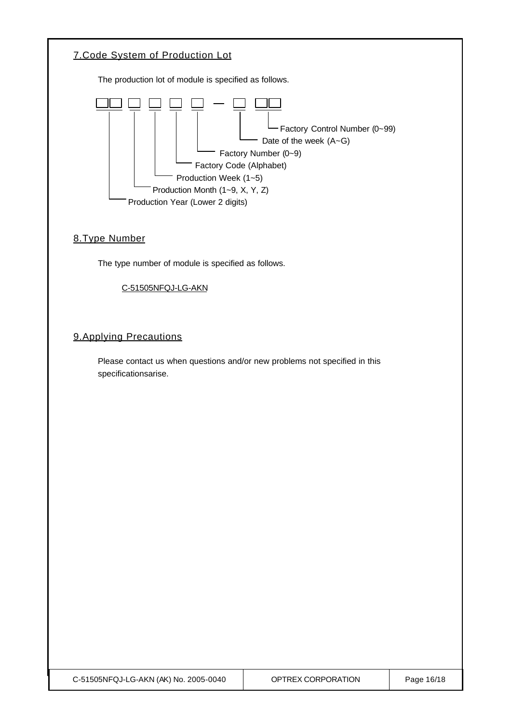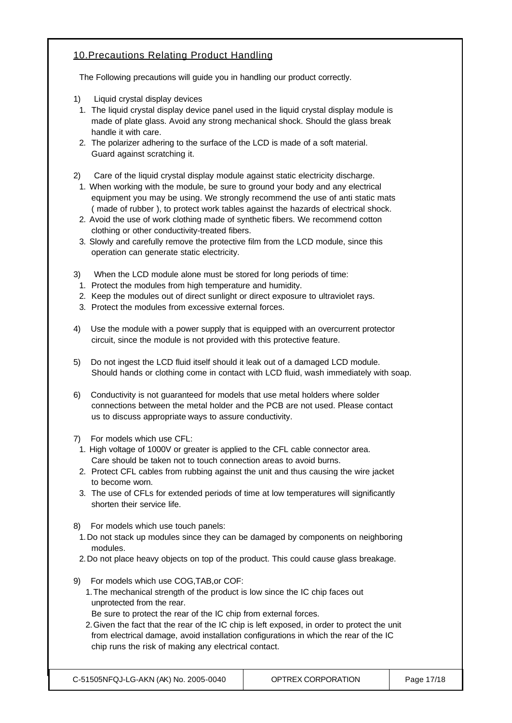## 10.Precautions Relating Product Handling

The Following precautions will guide you in handling our product correctly.

- 1) Liquid crystal display devices
- 1. The liquid crystal display device panel used in the liquid crystal display module is made of plate glass. Avoid any strong mechanical shock. Should the glass break handle it with care.
- 2. The polarizer adhering to the surface of the LCD is made of a soft material. Guard against scratching it.
- 2) Care of the liquid crystal display module against static electricity discharge.
- 1. When working with the module, be sure to ground your body and any electrical equipment you may be using. We strongly recommend the use of anti static mats ( made of rubber ), to protect work tables against the hazards of electrical shock.
- 2. Avoid the use of work clothing made of synthetic fibers. We recommend cotton clothing or other conductivity-treated fibers.
- 3. Slowly and carefully remove the protective film from the LCD module, since this operation can generate static electricity.
- 3) When the LCD module alone must be stored for long periods of time:
- 1. Protect the modules from high temperature and humidity.
- 2. Keep the modules out of direct sunlight or direct exposure to ultraviolet rays.
- 3. Protect the modules from excessive external forces.
- 4) Use the module with a power supply that is equipped with an overcurrent protector circuit, since the module is not provided with this protective feature.
- 5) Do not ingest the LCD fluid itself should it leak out of a damaged LCD module. Should hands or clothing come in contact with LCD fluid, wash immediately with soap.
- 6) Conductivity is not guaranteed for models that use metal holders where solder connections between the metal holder and the PCB are not used. Please contact us to discuss appropriate ways to assure conductivity.
- 7) For models which use CFL:
- 1. High voltage of 1000V or greater is applied to the CFL cable connector area. Care should be taken not to touch connection areas to avoid burns.
- 2. Protect CFL cables from rubbing against the unit and thus causing the wire jacket to become worn.
- 3. The use of CFLs for extended periods of time at low temperatures will significantly shorten their service life.
- 8) For models which use touch panels:
- 1.Do not stack up modules since they can be damaged by components on neighboring modules.
- 2.Do not place heavy objects on top of the product. This could cause glass breakage.
- 9) For models which use COG,TAB,or COF:
	- 1.The mechanical strength of the product is low since the IC chip faces out unprotected from the rear.
	- Be sure to protect the rear of the IC chip from external forces.
	- 2.Given the fact that the rear of the IC chip is left exposed, in order to protect the unit from electrical damage, avoid installation configurations in which the rear of the IC chip runs the risk of making any electrical contact.